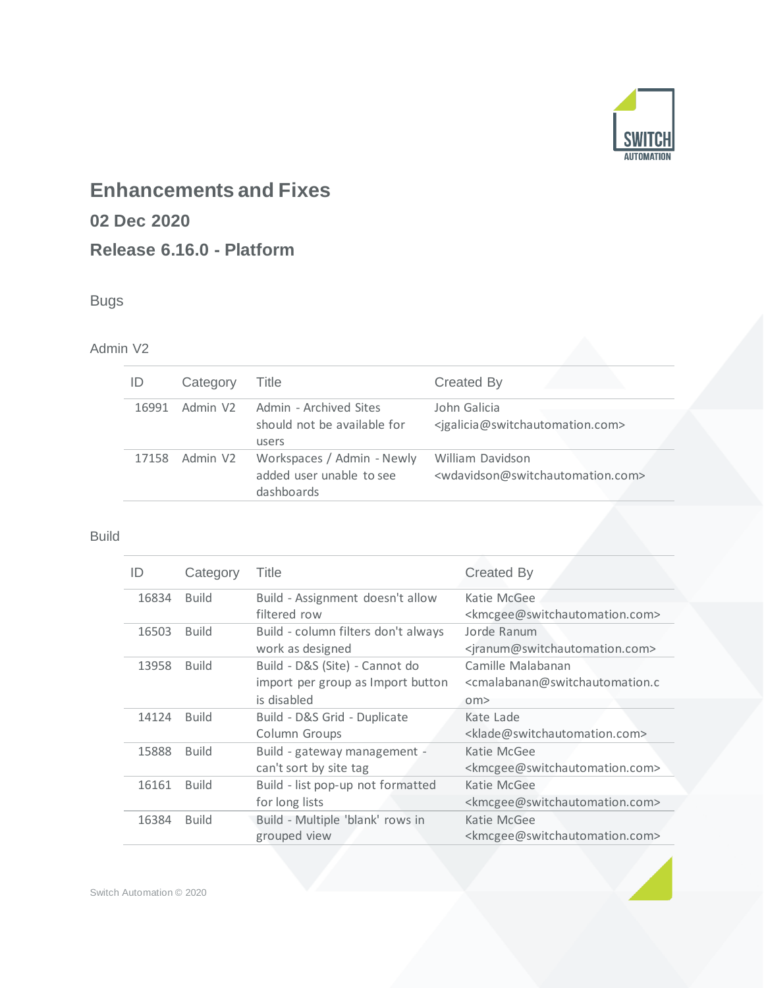

# **Enhancements and Fixes**

# **02 Dec 2020**

# **Release 6.16.0 - Platform**

# Bugs

## Admin V2

| ID    | Category             | Title                                                                | <b>Created By</b>                                                                     |
|-------|----------------------|----------------------------------------------------------------------|---------------------------------------------------------------------------------------|
| 16991 | Admin V <sub>2</sub> | Admin - Archived Sites<br>should not be available for<br>users       | John Galicia<br><igalicia@switchautomation.com></igalicia@switchautomation.com>       |
| 17158 | Admin V <sub>2</sub> | Workspaces / Admin - Newly<br>added user unable to see<br>dashboards | William Davidson<br><wdavidson@switchautomation.com></wdavidson@switchautomation.com> |

#### Build

| ID    | Category     | Title                               | <b>Created By</b>                                                       |
|-------|--------------|-------------------------------------|-------------------------------------------------------------------------|
| 16834 | <b>Build</b> | Build - Assignment doesn't allow    | Katie McGee                                                             |
|       |              | filtered row                        | <kmcgee@switchautomation.com></kmcgee@switchautomation.com>             |
| 16503 | <b>Build</b> | Build - column filters don't always | Jorde Ranum                                                             |
|       |              | work as designed                    | <jranum@switchautomation.com></jranum@switchautomation.com>             |
| 13958 | <b>Build</b> | Build - D&S (Site) - Cannot do      | Camille Malabanan                                                       |
|       |              | import per group as Import button   | <cmalabanan@switchautomation.c< td=""></cmalabanan@switchautomation.c<> |
|       |              | is disabled                         | om                                                                      |
| 14124 | <b>Build</b> | Build - D&S Grid - Duplicate        | Kate Lade                                                               |
|       |              | Column Groups                       | <klade@switchautomation.com></klade@switchautomation.com>               |
| 15888 | <b>Build</b> | Build - gateway management -        | Katie McGee                                                             |
|       |              | can't sort by site tag              | <kmcgee@switchautomation.com></kmcgee@switchautomation.com>             |
| 16161 | <b>Build</b> | Build - list pop-up not formatted   | Katie McGee                                                             |
|       |              | for long lists                      | <kmcgee@switchautomation.com></kmcgee@switchautomation.com>             |
| 16384 | <b>Build</b> | Build - Multiple 'blank' rows in    | Katie McGee                                                             |
|       |              | grouped view                        | <kmcgee@switchautomation.com></kmcgee@switchautomation.com>             |

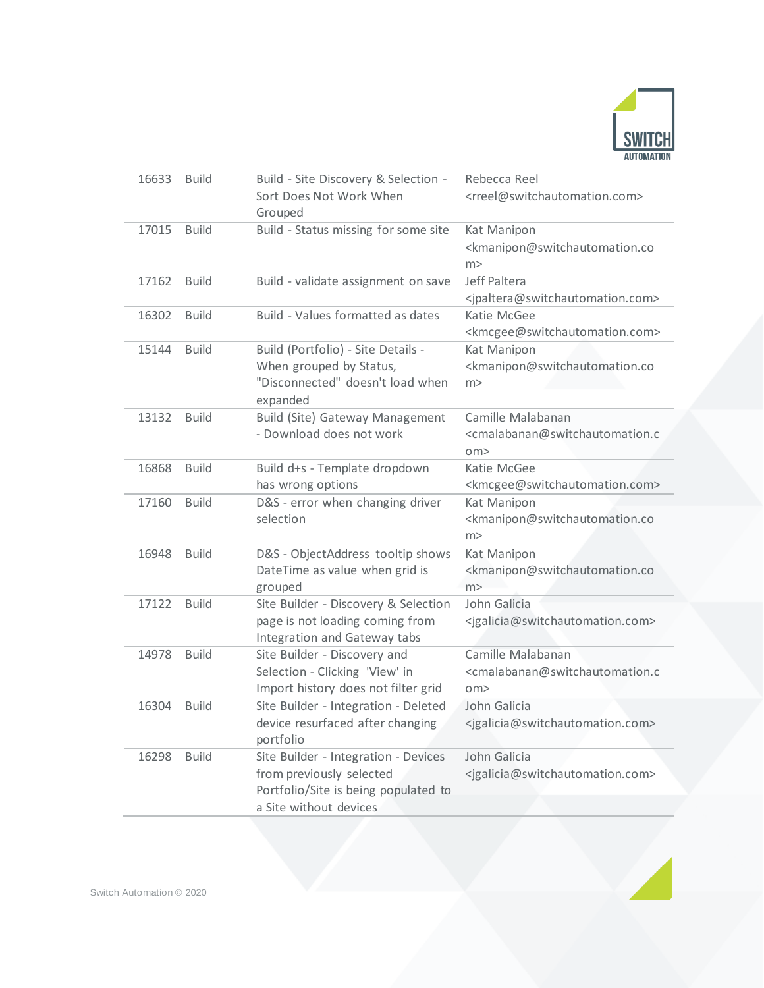

| 16633 | <b>Build</b> | Build - Site Discovery & Selection -                            | Rebecca Reel                                                            |
|-------|--------------|-----------------------------------------------------------------|-------------------------------------------------------------------------|
|       |              | Sort Does Not Work When                                         | <rreel@switchautomation.com></rreel@switchautomation.com>               |
|       |              | Grouped                                                         |                                                                         |
| 17015 | <b>Build</b> | Build - Status missing for some site                            | Kat Manipon                                                             |
|       |              |                                                                 | <kmanipon@switchautomation.co< td=""></kmanipon@switchautomation.co<>   |
|       |              |                                                                 | m >                                                                     |
| 17162 | <b>Build</b> | Build - validate assignment on save                             | Jeff Paltera                                                            |
|       |              |                                                                 | <jpaltera@switchautomation.com></jpaltera@switchautomation.com>         |
| 16302 | <b>Build</b> | Build - Values formatted as dates                               | Katie McGee                                                             |
|       |              |                                                                 | <kmcgee@switchautomation.com></kmcgee@switchautomation.com>             |
| 15144 | <b>Build</b> | Build (Portfolio) - Site Details -                              | Kat Manipon                                                             |
|       |              | When grouped by Status,                                         | <kmanipon@switchautomation.co< td=""></kmanipon@switchautomation.co<>   |
|       |              | "Disconnected" doesn't load when                                | m >                                                                     |
|       |              | expanded                                                        |                                                                         |
| 13132 | <b>Build</b> | Build (Site) Gateway Management                                 | Camille Malabanan                                                       |
|       |              | - Download does not work                                        | <cmalabanan@switchautomation.c< td=""></cmalabanan@switchautomation.c<> |
|       |              |                                                                 | $\text{cm}$                                                             |
| 16868 | <b>Build</b> | Build d+s - Template dropdown                                   | Katie McGee                                                             |
|       |              | has wrong options                                               | <kmcgee@switchautomation.com></kmcgee@switchautomation.com>             |
| 17160 | <b>Build</b> | D&S - error when changing driver                                | Kat Manipon                                                             |
|       |              | selection                                                       | <kmanipon@switchautomation.co< td=""></kmanipon@switchautomation.co<>   |
|       |              |                                                                 | m >                                                                     |
| 16948 | <b>Build</b> | D&S - ObjectAddress tooltip shows                               | Kat Manipon                                                             |
|       |              | DateTime as value when grid is                                  | <kmanipon@switchautomation.co< td=""></kmanipon@switchautomation.co<>   |
|       |              | grouped                                                         | m >                                                                     |
| 17122 | <b>Build</b> | Site Builder - Discovery & Selection                            | John Galicia                                                            |
|       |              | page is not loading coming from<br>Integration and Gateway tabs | <jgalicia@switchautomation.com></jgalicia@switchautomation.com>         |
| 14978 | <b>Build</b> | Site Builder - Discovery and                                    | Camille Malabanan                                                       |
|       |              | Selection - Clicking 'View' in                                  | <cmalabanan@switchautomation.c< td=""></cmalabanan@switchautomation.c<> |
|       |              | Import history does not filter grid                             | $\text{om}$                                                             |
| 16304 | <b>Build</b> | Site Builder - Integration - Deleted                            | John Galicia                                                            |
|       |              | device resurfaced after changing                                | <jgalicia@switchautomation.com></jgalicia@switchautomation.com>         |
|       |              | portfolio                                                       |                                                                         |
| 16298 | <b>Build</b> | Site Builder - Integration - Devices                            | John Galicia                                                            |
|       |              | from previously selected                                        | <jgalicia@switchautomation.com></jgalicia@switchautomation.com>         |
|       |              | Portfolio/Site is being populated to                            |                                                                         |
|       |              | a Site without devices                                          |                                                                         |
|       |              |                                                                 |                                                                         |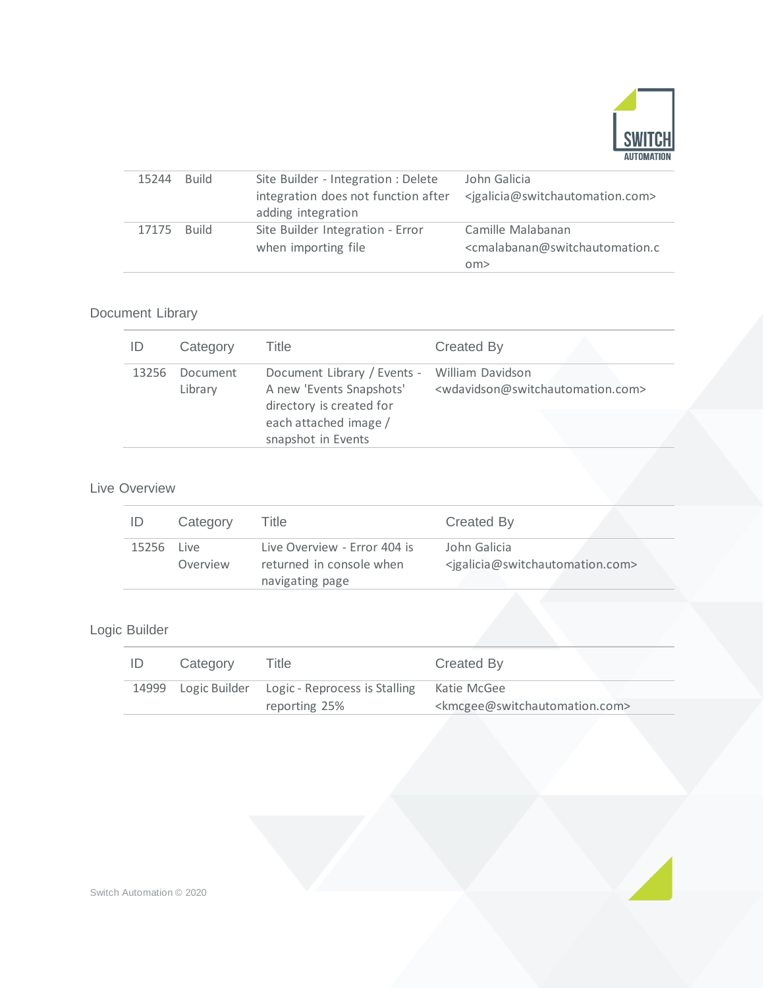

| 15244 | <b>Build</b> | Site Builder - Integration : Delete | John Galicia                                                            |
|-------|--------------|-------------------------------------|-------------------------------------------------------------------------|
|       |              | integration does not function after | <igalicia@switchautomation.com></igalicia@switchautomation.com>         |
|       |              | adding integration                  |                                                                         |
| 17175 | <b>Build</b> | Site Builder Integration - Error    | Camille Malabanan                                                       |
|       |              | when importing file                 | <cmalabanan@switchautomation.c< td=""></cmalabanan@switchautomation.c<> |
|       |              |                                     | $\text{cm}$                                                             |
|       |              |                                     |                                                                         |

## Document Library

| ID    | Category            | Title                                                                                                                         | Created By                                                        |
|-------|---------------------|-------------------------------------------------------------------------------------------------------------------------------|-------------------------------------------------------------------|
| 13256 | Document<br>Library | Document Library / Events - William Davidson<br>A new 'Events Snapshots'<br>directory is created for<br>each attached image / | <wdavidson@switchautomation.com></wdavidson@switchautomation.com> |
|       |                     | snapshot in Events                                                                                                            |                                                                   |

### Live Overview

| ID    | Category          | Title                                                                       | Created By                                                                      |
|-------|-------------------|-----------------------------------------------------------------------------|---------------------------------------------------------------------------------|
| 15256 | l ive<br>Overview | Live Overview - Error 404 is<br>returned in console when<br>navigating page | John Galicia<br><igalicia@switchautomation.com></igalicia@switchautomation.com> |

## Logic Builder

| Category | Title                                             | Created By                                                  |
|----------|---------------------------------------------------|-------------------------------------------------------------|
|          | 14999 Logic Builder Logic - Reprocess is Stalling | Katie McGee                                                 |
|          | reporting 25%                                     | <kmcgee@switchautomation.com></kmcgee@switchautomation.com> |